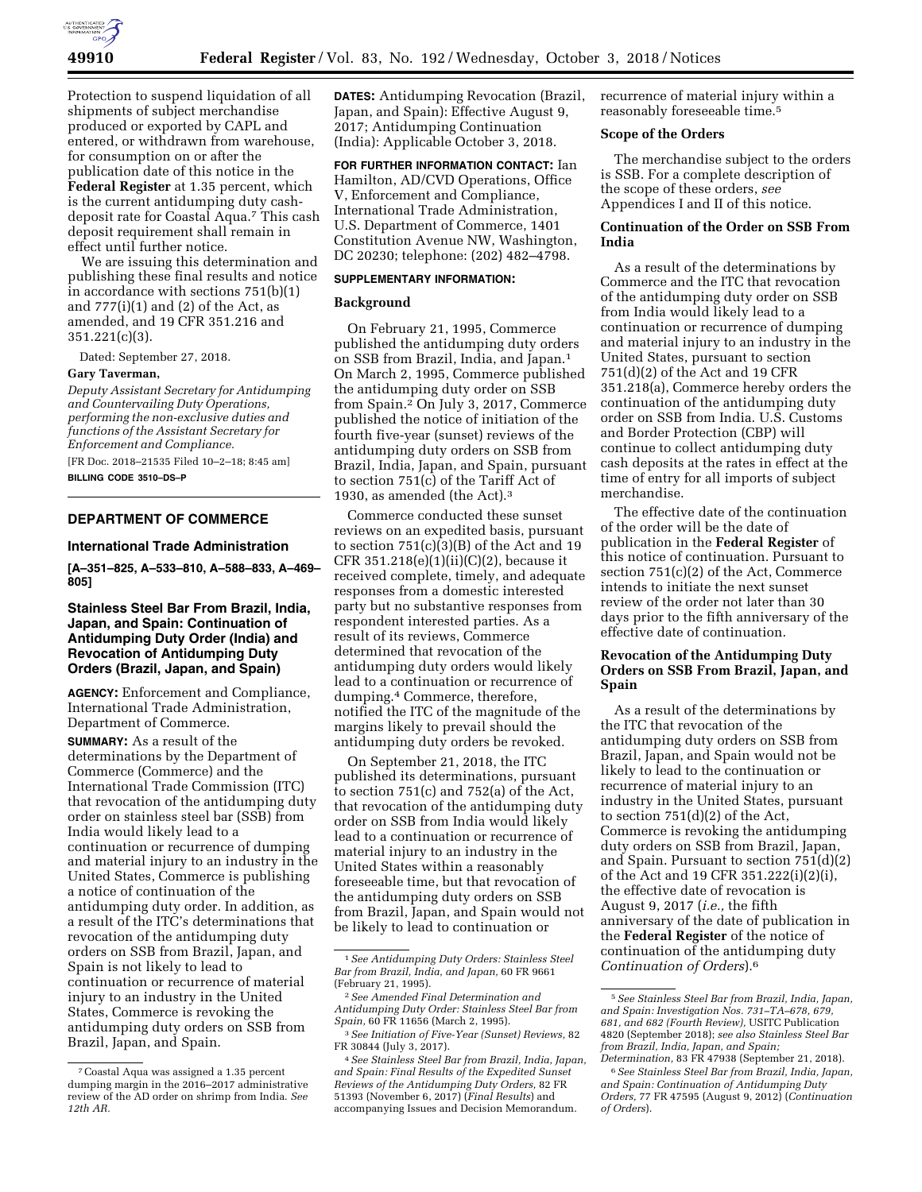

Protection to suspend liquidation of all shipments of subject merchandise produced or exported by CAPL and entered, or withdrawn from warehouse, for consumption on or after the publication date of this notice in the **Federal Register** at 1.35 percent, which is the current antidumping duty cashdeposit rate for Coastal Aqua.7 This cash deposit requirement shall remain in effect until further notice.

We are issuing this determination and publishing these final results and notice in accordance with sections 751(b)(1) and  $777(i)(1)$  and  $(2)$  of the Act, as amended, and 19 CFR 351.216 and 351.221(c)(3).

Dated: September 27, 2018.

#### **Gary Taverman,**

*Deputy Assistant Secretary for Antidumping and Countervailing Duty Operations, performing the non-exclusive duties and functions of the Assistant Secretary for Enforcement and Compliance.* 

[FR Doc. 2018–21535 Filed 10–2–18; 8:45 am]

**BILLING CODE 3510–DS–P** 

## **DEPARTMENT OF COMMERCE**

## **International Trade Administration**

**[A–351–825, A–533–810, A–588–833, A–469– 805]** 

# **Stainless Steel Bar From Brazil, India, Japan, and Spain: Continuation of Antidumping Duty Order (India) and Revocation of Antidumping Duty Orders (Brazil, Japan, and Spain)**

**AGENCY:** Enforcement and Compliance, International Trade Administration, Department of Commerce.

**SUMMARY:** As a result of the determinations by the Department of Commerce (Commerce) and the International Trade Commission (ITC) that revocation of the antidumping duty order on stainless steel bar (SSB) from India would likely lead to a continuation or recurrence of dumping and material injury to an industry in the United States, Commerce is publishing a notice of continuation of the antidumping duty order. In addition, as a result of the ITC's determinations that revocation of the antidumping duty orders on SSB from Brazil, Japan, and Spain is not likely to lead to continuation or recurrence of material injury to an industry in the United States, Commerce is revoking the antidumping duty orders on SSB from Brazil, Japan, and Spain.

**DATES:** Antidumping Revocation (Brazil, Japan, and Spain): Effective August 9, 2017; Antidumping Continuation (India): Applicable October 3, 2018.

**FOR FURTHER INFORMATION CONTACT:** Ian Hamilton, AD/CVD Operations, Office V, Enforcement and Compliance, International Trade Administration, U.S. Department of Commerce, 1401 Constitution Avenue NW, Washington, DC 20230; telephone: (202) 482–4798.

#### **SUPPLEMENTARY INFORMATION:**

## **Background**

On February 21, 1995, Commerce published the antidumping duty orders on SSB from Brazil, India, and Japan.1 On March 2, 1995, Commerce published the antidumping duty order on SSB from Spain.2 On July 3, 2017, Commerce published the notice of initiation of the fourth five-year (sunset) reviews of the antidumping duty orders on SSB from Brazil, India, Japan, and Spain, pursuant to section 751(c) of the Tariff Act of 1930, as amended (the Act).3

Commerce conducted these sunset reviews on an expedited basis, pursuant to section 751(c)(3)(B) of the Act and 19 CFR 351.218(e)(1)(ii)(C)(2), because it received complete, timely, and adequate responses from a domestic interested party but no substantive responses from respondent interested parties. As a result of its reviews, Commerce determined that revocation of the antidumping duty orders would likely lead to a continuation or recurrence of dumping.4 Commerce, therefore, notified the ITC of the magnitude of the margins likely to prevail should the antidumping duty orders be revoked.

On September 21, 2018, the ITC published its determinations, pursuant to section 751(c) and 752(a) of the Act, that revocation of the antidumping duty order on SSB from India would likely lead to a continuation or recurrence of material injury to an industry in the United States within a reasonably foreseeable time, but that revocation of the antidumping duty orders on SSB from Brazil, Japan, and Spain would not be likely to lead to continuation or

recurrence of material injury within a reasonably foreseeable time.5

#### **Scope of the Orders**

The merchandise subject to the orders is SSB. For a complete description of the scope of these orders, *see*  Appendices I and II of this notice.

## **Continuation of the Order on SSB From India**

As a result of the determinations by Commerce and the ITC that revocation of the antidumping duty order on SSB from India would likely lead to a continuation or recurrence of dumping and material injury to an industry in the United States, pursuant to section 751(d)(2) of the Act and 19 CFR 351.218(a), Commerce hereby orders the continuation of the antidumping duty order on SSB from India. U.S. Customs and Border Protection (CBP) will continue to collect antidumping duty cash deposits at the rates in effect at the time of entry for all imports of subject merchandise.

The effective date of the continuation of the order will be the date of publication in the **Federal Register** of this notice of continuation. Pursuant to section 751(c)(2) of the Act, Commerce intends to initiate the next sunset review of the order not later than 30 days prior to the fifth anniversary of the effective date of continuation.

# **Revocation of the Antidumping Duty Orders on SSB From Brazil, Japan, and Spain**

As a result of the determinations by the ITC that revocation of the antidumping duty orders on SSB from Brazil, Japan, and Spain would not be likely to lead to the continuation or recurrence of material injury to an industry in the United States, pursuant to section 751(d)(2) of the Act, Commerce is revoking the antidumping duty orders on SSB from Brazil, Japan, and Spain. Pursuant to section 751(d)(2) of the Act and 19 CFR 351.222(i)(2)(i), the effective date of revocation is August 9, 2017 (*i.e.,* the fifth anniversary of the date of publication in the **Federal Register** of the notice of continuation of the antidumping duty *Continuation of Orders*).6

<sup>7</sup>Coastal Aqua was assigned a 1.35 percent dumping margin in the 2016–2017 administrative review of the AD order on shrimp from India. *See 12th AR.* 

<sup>1</sup>*See Antidumping Duty Orders: Stainless Steel Bar from Brazil, India, and Japan,* 60 FR 9661 (February 21, 1995).

<sup>2</sup>*See Amended Final Determination and Antidumping Duty Order: Stainless Steel Bar from Spain,* 60 FR 11656 (March 2, 1995).

<sup>3</sup>*See Initiation of Five-Year (Sunset) Reviews,* 82 FR 30844 (July 3, 2017).

<sup>4</sup>*See Stainless Steel Bar from Brazil, India, Japan, and Spain: Final Results of the Expedited Sunset Reviews of the Antidumping Duty Orders,* 82 FR 51393 (November 6, 2017) (*Final Results*) and accompanying Issues and Decision Memorandum.

<sup>5</sup>*See Stainless Steel Bar from Brazil, India, Japan, and Spain: Investigation Nos. 731–TA–678, 679, 681, and 682 (Fourth Review),* USITC Publication 4820 (September 2018); *see also Stainless Steel Bar from Brazil, India, Japan, and Spain; Determination,* 83 FR 47938 (September 21, 2018).

<sup>6</sup>*See Stainless Steel Bar from Brazil, India, Japan, and Spain: Continuation of Antidumping Duty Orders,* 77 FR 47595 (August 9, 2012) (*Continuation of Orders*).